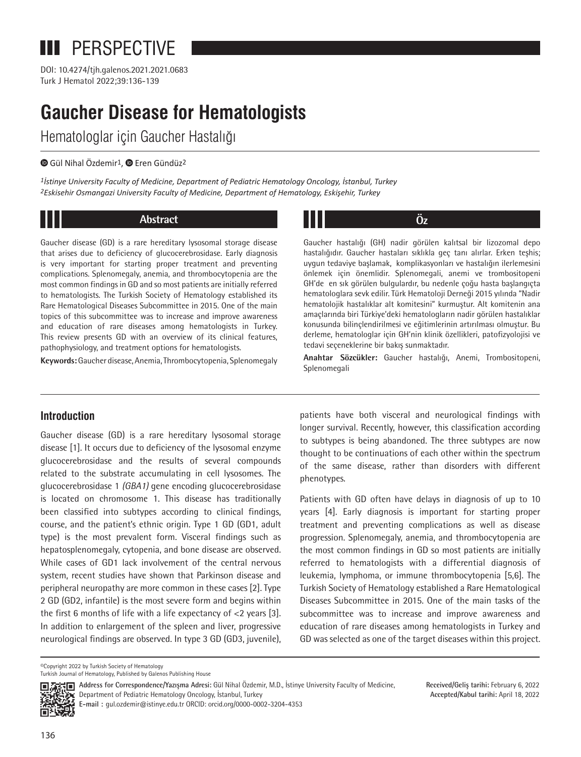# **III** PERSPECTIVE

Turk J Hematol 2022;39:136-139 DOI: 10.4274/tjh.galenos.2021.2021.0683

# **Gaucher Disease for Hematologists**

Hematologlar için Gaucher Hastalığı

### **GülNihal Özdemir<sup>1</sup>, @ Eren Gündüz<sup>2</sup>**

*1İstinye University Faculty of Medicine, Department of Pediatric Hematology Oncology, İstanbul, Turkey 2Eskisehir Osmangazi University Faculty of Medicine, Department of Hematology, Eskişehir, Turkey*

# **Abstract Öz**

Gaucher disease (GD) is a rare hereditary lysosomal storage disease that arises due to deficiency of glucocerebrosidase. Early diagnosis is very important for starting proper treatment and preventing complications. Splenomegaly, anemia, and thrombocytopenia are the most common findings in GD and so most patients are initially referred to hematologists. The Turkish Society of Hematology established its Rare Hematological Diseases Subcommittee in 2015. One of the main topics of this subcommittee was to increase and improve awareness and education of rare diseases among hematologists in Turkey. This review presents GD with an overview of its clinical features, pathophysiology, and treatment options for hematologists.

**Keywords:** Gaucher disease, Anemia, Thrombocytopenia, Splenomegaly

Gaucher hastalığı (GH) nadir görülen kalıtsal bir lizozomal depo hastalığıdır. Gaucher hastaları sıklıkla geç tanı alırlar. Erken teşhis; uygun tedaviye başlamak, komplikasyonları ve hastalığın ilerlemesini önlemek için önemlidir. Splenomegali, anemi ve trombositopeni GH'de en sık görülen bulgulardır, bu nedenle çoğu hasta başlangıçta hematologlara sevk edilir. Türk Hematoloji Derneği 2015 yılında "Nadir hematolojik hastalıklar alt komitesini" kurmuştur. Alt komitenin ana amaçlarında biri Türkiye'deki hematologların nadir görülen hastalıklar konusunda bilinçlendirilmesi ve eğitimlerinin artırılması olmuştur. Bu derleme, hematologlar için GH'nin klinik özellikleri, patofizyolojisi ve tedavi seçeneklerine bir bakış sunmaktadır.

**Anahtar Sözcükler:** Gaucher hastalığı, Anemi, Trombositopeni, Splenomegali

# **Introduction**

Gaucher disease (GD) is a rare hereditary lysosomal storage disease [1]. It occurs due to deficiency of the lysosomal enzyme glucocerebrosidase and the results of several compounds related to the substrate accumulating in cell lysosomes. The glucocerebrosidase 1 *(GBA1)* gene encoding glucocerebrosidase is located on chromosome 1. This disease has traditionally been classified into subtypes according to clinical findings, course, and the patient's ethnic origin. Type 1 GD (GD1, adult type) is the most prevalent form. Visceral findings such as hepatosplenomegaly, cytopenia, and bone disease are observed. While cases of GD1 lack involvement of the central nervous system, recent studies have shown that Parkinson disease and peripheral neuropathy are more common in these cases [2]. Type 2 GD (GD2, infantile) is the most severe form and begins within the first 6 months of life with a life expectancy of  $<$ 2 years [3]. In addition to enlargement of the spleen and liver, progressive neurological findings are observed. In type 3 GD (GD3, juvenile), patients have both visceral and neurological findings with longer survival. Recently, however, this classification according to subtypes is being abandoned. The three subtypes are now thought to be continuations of each other within the spectrum of the same disease, rather than disorders with different phenotypes.

Patients with GD often have delays in diagnosis of up to 10 years [4]. Early diagnosis is important for starting proper treatment and preventing complications as well as disease progression. Splenomegaly, anemia, and thrombocytopenia are the most common findings in GD so most patients are initially referred to hematologists with a differential diagnosis of leukemia, lymphoma, or immune thrombocytopenia [5,6]. The Turkish Society of Hematology established a Rare Hematological Diseases Subcommittee in 2015. One of the main tasks of the subcommittee was to increase and improve awareness and education of rare diseases among hematologists in Turkey and GD was selected as one of the target diseases within this project.

©Copyright 2022 by Turkish Society of Hematology Turkish Journal of Hematology, Published by Galenos Publishing House



**Address for Correspondence/Yazışma Adresi:** Gül Nihal Özdemir, M.D., İstinye University Faculty of Medicine, Department of Pediatric Hematology Oncology, İstanbul, Turkey **E-mail :** gul.ozdemir@istinye.edu.tr ORCID: orcid.org/0000-0002-3204-4353

**Received/Geliş tarihi:** February 6, 2022 **Accepted/Kabul tarihi:** April 18, 2022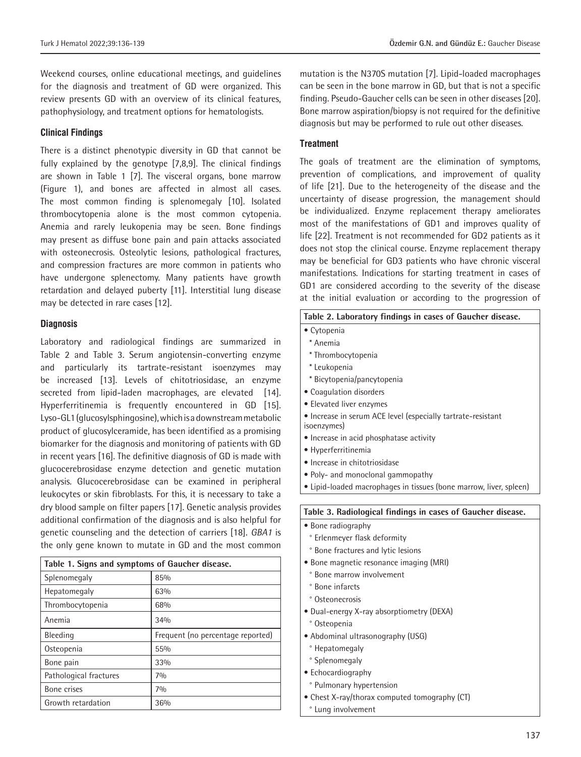Weekend courses, online educational meetings, and guidelines for the diagnosis and treatment of GD were organized. This review presents GD with an overview of its clinical features, pathophysiology, and treatment options for hematologists.

#### **Clinical Findings**

There is a distinct phenotypic diversity in GD that cannot be fully explained by the genotype [7,8,9]. The clinical findings are shown in Table 1 [7]. The visceral organs, bone marrow (Figure 1), and bones are affected in almost all cases. The most common finding is splenomegaly [10]. Isolated thrombocytopenia alone is the most common cytopenia. Anemia and rarely leukopenia may be seen. Bone findings may present as diffuse bone pain and pain attacks associated with osteonecrosis. Osteolytic lesions, pathological fractures, and compression fractures are more common in patients who have undergone splenectomy. Many patients have growth retardation and delayed puberty [11]. Interstitial lung disease may be detected in rare cases [12].

#### **Diagnosis**

Laboratory and radiological findings are summarized in Table 2 and Table 3. Serum angiotensin-converting enzyme and particularly its tartrate-resistant isoenzymes may be increased [13]. Levels of chitotriosidase, an enzyme secreted from lipid-laden macrophages, are elevated [14]. Hyperferritinemia is frequently encountered in GD [15]. Lyso-GL1 (glucosylsphingosine), which is a downstream metabolic product of glucosylceramide, has been identified as a promising biomarker for the diagnosis and monitoring of patients with GD in recent years [16]. The definitive diagnosis of GD is made with glucocerebrosidase enzyme detection and genetic mutation analysis. Glucocerebrosidase can be examined in peripheral leukocytes or skin fibroblasts. For this, it is necessary to take a dry blood sample on filter papers [17]. Genetic analysis provides additional confirmation of the diagnosis and is also helpful for genetic counseling and the detection of carriers [18]. *GBA1* is the only gene known to mutate in GD and the most common

| Table 1. Signs and symptoms of Gaucher disease. |                                   |  |
|-------------------------------------------------|-----------------------------------|--|
| Splenomegaly                                    | 85%                               |  |
| Hepatomegaly                                    | 63%                               |  |
| Thrombocytopenia                                | 68%                               |  |
| Anemia                                          | 34%                               |  |
| <b>Bleeding</b>                                 | Frequent (no percentage reported) |  |
| Osteopenia                                      | 55%                               |  |
| Bone pain                                       | 33%                               |  |
| Pathological fractures                          | 70/0                              |  |
| Bone crises                                     | 70/0                              |  |
| Growth retardation                              | 36%                               |  |

mutation is the N370S mutation [7]. Lipid-loaded macrophages can be seen in the bone marrow in GD, but that is not a specific finding. Pseudo-Gaucher cells can be seen in other diseases [20]. Bone marrow aspiration/biopsy is not required for the definitive diagnosis but may be performed to rule out other diseases.

#### **Treatment**

The goals of treatment are the elimination of symptoms, prevention of complications, and improvement of quality of life [21]. Due to the heterogeneity of the disease and the uncertainty of disease progression, the management should be individualized. Enzyme replacement therapy ameliorates most of the manifestations of GD1 and improves quality of life [22]. Treatment is not recommended for GD2 patients as it does not stop the clinical course. Enzyme replacement therapy may be beneficial for GD3 patients who have chronic visceral manifestations. Indications for starting treatment in cases of GD1 are considered according to the severity of the disease at the initial evaluation or according to the progression of

| Table 2. Laboratory findings in cases of Gaucher disease.                   |  |
|-----------------------------------------------------------------------------|--|
| • Cytopenia                                                                 |  |
| * Anemia                                                                    |  |
| * Thrombocytopenia                                                          |  |
| * Leukopenia                                                                |  |
| * Bicytopenia/pancytopenia                                                  |  |
| • Coagulation disorders                                                     |  |
| • Elevated liver enzymes                                                    |  |
| • Increase in serum ACE level (especially tartrate-resistant<br>isoenzymes) |  |
| • Increase in acid phosphatase activity                                     |  |
| • Hyperferritinemia                                                         |  |
| • Increase in chitotriosidase                                               |  |
| • Poly- and monoclonal gammopathy                                           |  |
| Lipid-loaded macrophages in tissues (bone marrow, liver, spleen)            |  |
| Table 3. Radiological findings in cases of Gaucher disease.                 |  |
| • Bone radiography                                                          |  |
| ° Erlenmeyer flask deformity                                                |  |
| ° Bone fractures and lytic lesions                                          |  |
| · Bone magnetic resonance imaging (MRI)                                     |  |
| ° Bone marrow involvement                                                   |  |

- ° Bone infarcts
- ° Osteonecrosis
- Dual-energy X-ray absorptiometry (DEXA)
- ° Osteopenia
- Abdominal ultrasonography (USG)
- ° Hepatomegaly
- ° Splenomegaly
- Echocardiography
- ° Pulmonary hypertension
- Chest X-ray/thorax computed tomography (CT)
- ° Lung involvement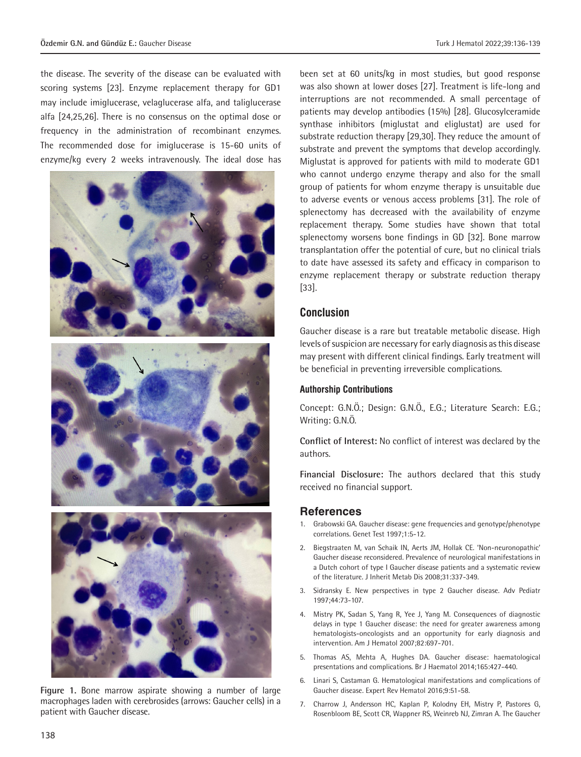the disease. The severity of the disease can be evaluated with scoring systems [23]. Enzyme replacement therapy for GD1 may include imiglucerase, velaglucerase alfa, and taliglucerase alfa [24,25,26]. There is no consensus on the optimal dose or frequency in the administration of recombinant enzymes. The recommended dose for imiglucerase is 15-60 units of enzyme/kg every 2 weeks intravenously. The ideal dose has



**Figure 1.** Bone marrow aspirate showing a number of large macrophages laden with cerebrosides (arrows: Gaucher cells) in a patient with Gaucher disease.

been set at 60 units/kg in most studies, but good response was also shown at lower doses [27]. Treatment is life-long and interruptions are not recommended. A small percentage of patients may develop antibodies (15%) [28]. Glucosylceramide synthase inhibitors (miglustat and eliglustat) are used for substrate reduction therapy [29,30]. They reduce the amount of substrate and prevent the symptoms that develop accordingly. Miglustat is approved for patients with mild to moderate GD1 who cannot undergo enzyme therapy and also for the small group of patients for whom enzyme therapy is unsuitable due to adverse events or venous access problems [31]. The role of splenectomy has decreased with the availability of enzyme replacement therapy. Some studies have shown that total splenectomy worsens bone findings in GD [32]. Bone marrow transplantation offer the potential of cure, but no clinical trials to date have assessed its safety and efficacy in comparison to enzyme replacement therapy or substrate reduction therapy [33].

## **Conclusion**

Gaucher disease is a rare but treatable metabolic disease. High levels of suspicion are necessary for early diagnosis as this disease may present with different clinical findings. Early treatment will be beneficial in preventing irreversible complications.

#### **Authorship Contributions**

Concept: G.N.Ö.; Design: G.N.Ö., E.G.; Literature Search: E.G.; Writing: G.N.Ö.

**Conflict of Interest:** No conflict of interest was declared by the authors.

**Financial Disclosure:** The authors declared that this study received no financial support.

## **References**

- 1. Grabowski GA. Gaucher disease: gene frequencies and genotype/phenotype correlations. Genet Test 1997;1:5-12.
- 2. Biegstraaten M, van Schaik IN, Aerts JM, Hollak CE. 'Non-neuronopathic' Gaucher disease reconsidered. Prevalence of neurological manifestations in a Dutch cohort of type I Gaucher disease patients and a systematic review of the literature. J Inherit Metab Dis 2008;31:337-349.
- 3. Sidransky E. New perspectives in type 2 Gaucher disease. Adv Pediatr 1997;44:73-107.
- 4. Mistry PK, Sadan S, Yang R, Yee J, Yang M. Consequences of diagnostic delays in type 1 Gaucher disease: the need for greater awareness among hematologists-oncologists and an opportunity for early diagnosis and intervention. Am J Hematol 2007;82:697-701.
- 5. Thomas AS, Mehta A, Hughes DA. Gaucher disease: haematological presentations and complications. Br J Haematol 2014;165:427-440.
- 6. Linari S, Castaman G. Hematological manifestations and complications of Gaucher disease. Expert Rev Hematol 2016;9:51-58.
- 7. Charrow J, Andersson HC, Kaplan P, Kolodny EH, Mistry P, Pastores G, Rosenbloom BE, Scott CR, Wappner RS, Weinreb NJ, Zimran A. The Gaucher